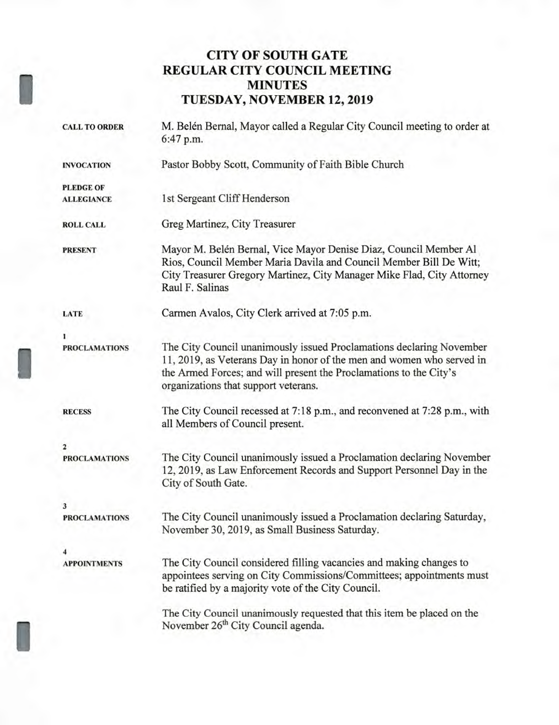# **CITY OF SOUTH GATE REGULAR CITY COUNCIL MEETING MINUTES TUESDAY, NOVEMBER 12, 2019**

I

I

I

| <b>CALL TO ORDER</b> | M. Belén Bernal, Mayor called a Regular City Council meeting to order at<br>6:47 p.m.                                                                                                                                                                       |  |  |
|----------------------|-------------------------------------------------------------------------------------------------------------------------------------------------------------------------------------------------------------------------------------------------------------|--|--|
| <b>INVOCATION</b>    | Pastor Bobby Scott, Community of Faith Bible Church                                                                                                                                                                                                         |  |  |
| <b>PLEDGE OF</b>     |                                                                                                                                                                                                                                                             |  |  |
| <b>ALLEGIANCE</b>    | 1st Sergeant Cliff Henderson                                                                                                                                                                                                                                |  |  |
| <b>ROLL CALL</b>     | Greg Martinez, City Treasurer                                                                                                                                                                                                                               |  |  |
| <b>PRESENT</b>       | Mayor M. Belén Bernal, Vice Mayor Denise Diaz, Council Member Al<br>Rios, Council Member Maria Davila and Council Member Bill De Witt;<br>City Treasurer Gregory Martinez, City Manager Mike Flad, City Attorney<br>Raul F. Salinas                         |  |  |
| LATE                 | Carmen Avalos, City Clerk arrived at 7:05 p.m.                                                                                                                                                                                                              |  |  |
|                      |                                                                                                                                                                                                                                                             |  |  |
| <b>PROCLAMATIONS</b> | The City Council unanimously issued Proclamations declaring November<br>11, 2019, as Veterans Day in honor of the men and women who served in<br>the Armed Forces; and will present the Proclamations to the City's<br>organizations that support veterans. |  |  |
| <b>RECESS</b>        | The City Council recessed at 7:18 p.m., and reconvened at 7:28 p.m., with<br>all Members of Council present.                                                                                                                                                |  |  |
| 2                    |                                                                                                                                                                                                                                                             |  |  |
| <b>PROCLAMATIONS</b> | The City Council unanimously issued a Proclamation declaring November<br>12, 2019, as Law Enforcement Records and Support Personnel Day in the<br>City of South Gate.                                                                                       |  |  |
| 3                    |                                                                                                                                                                                                                                                             |  |  |
| <b>PROCLAMATIONS</b> | The City Council unanimously issued a Proclamation declaring Saturday,<br>November 30, 2019, as Small Business Saturday.                                                                                                                                    |  |  |
|                      |                                                                                                                                                                                                                                                             |  |  |
| <b>APPOINTMENTS</b>  | The City Council considered filling vacancies and making changes to<br>appointees serving on City Commissions/Committees; appointments must<br>be ratified by a majority vote of the City Council.                                                          |  |  |
|                      | The City Council unanimously requested that this item be placed on the<br>November 26 <sup>th</sup> City Council agenda.                                                                                                                                    |  |  |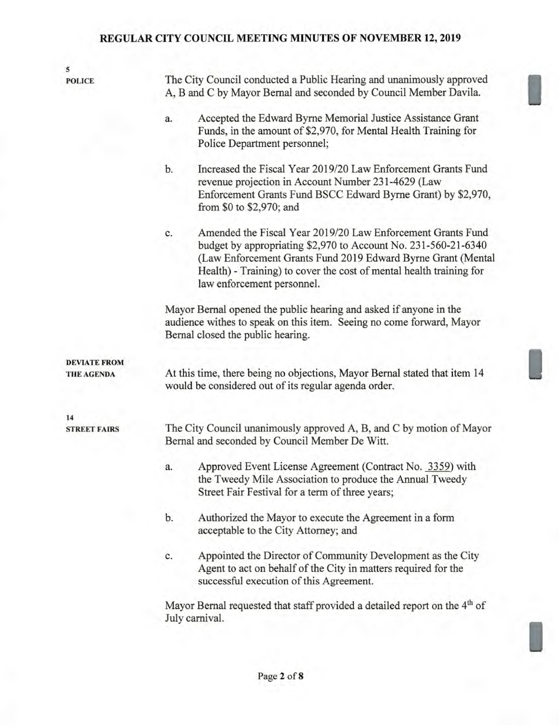| 5                                 |                                                                                                                                                                                                                                                                                                          |  |  |  |  |
|-----------------------------------|----------------------------------------------------------------------------------------------------------------------------------------------------------------------------------------------------------------------------------------------------------------------------------------------------------|--|--|--|--|
| <b>POLICE</b>                     | The City Council conducted a Public Hearing and unanimously approved<br>A, B and C by Mayor Bernal and seconded by Council Member Davila.                                                                                                                                                                |  |  |  |  |
|                                   | Accepted the Edward Byrne Memorial Justice Assistance Grant<br>a.<br>Funds, in the amount of \$2,970, for Mental Health Training for<br>Police Department personnel;                                                                                                                                     |  |  |  |  |
|                                   | Increased the Fiscal Year 2019/20 Law Enforcement Grants Fund<br>b.<br>revenue projection in Account Number 231-4629 (Law<br>Enforcement Grants Fund BSCC Edward Byrne Grant) by \$2,970,<br>from \$0 to \$2,970; and                                                                                    |  |  |  |  |
|                                   | Amended the Fiscal Year 2019/20 Law Enforcement Grants Fund<br>c.<br>budget by appropriating \$2,970 to Account No. 231-560-21-6340<br>(Law Enforcement Grants Fund 2019 Edward Byrne Grant (Mental<br>Health) - Training) to cover the cost of mental health training for<br>law enforcement personnel. |  |  |  |  |
|                                   | Mayor Bernal opened the public hearing and asked if anyone in the<br>audience withes to speak on this item. Seeing no come forward, Mayor<br>Bernal closed the public hearing.                                                                                                                           |  |  |  |  |
| <b>DEVIATE FROM</b><br>THE AGENDA | At this time, there being no objections, Mayor Bernal stated that item 14<br>would be considered out of its regular agenda order.                                                                                                                                                                        |  |  |  |  |
|                                   |                                                                                                                                                                                                                                                                                                          |  |  |  |  |
| 14<br><b>STREET FAIRS</b>         | The City Council unanimously approved A, B, and C by motion of Mayor<br>Bernal and seconded by Council Member De Witt.                                                                                                                                                                                   |  |  |  |  |
|                                   | Approved Event License Agreement (Contract No. 3359) with<br>a.<br>the Tweedy Mile Association to produce the Annual Tweedy<br>Street Fair Festival for a term of three years;                                                                                                                           |  |  |  |  |
|                                   | Authorized the Mayor to execute the Agreement in a form<br>b.<br>acceptable to the City Attorney; and                                                                                                                                                                                                    |  |  |  |  |
|                                   | Appointed the Director of Community Development as the City<br>c.<br>Agent to act on behalf of the City in matters required for the<br>successful execution of this Agreement.                                                                                                                           |  |  |  |  |
|                                   | Mayor Bernal requested that staff provided a detailed report on the 4 <sup>th</sup> of<br>July carnival.                                                                                                                                                                                                 |  |  |  |  |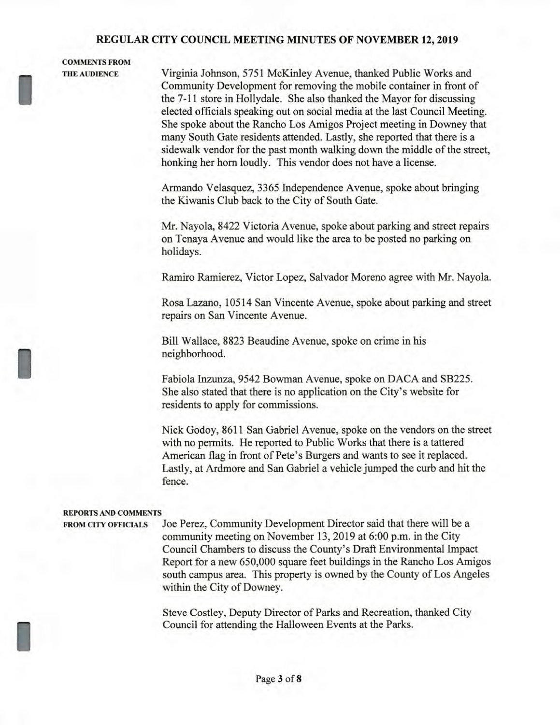# **COMMENTS FROM**

I

I

I

**THE AUDIENCE** Virginia Johnson, 5751 McKinley Avenue, thanked Public Works and Community Development for removing the mobile container in front of the 7-11 store in Hollydale. She also thanked the Mayor for discussing elected officials speaking out on social media at the last Council Meeting. She spoke about the Rancho Los Amigos Project meeting in Downey that many South Gate residents attended. Lastly, she reported that there is a sidewalk vendor for the past month walking down the middle of the street, honking her horn loudly. This vendor does not have a license.

> Armando Velasquez, 3365 Independence Avenue, spoke about bringing the Kiwanis Club back to the City of South Gate.

Mr. Nayola, 8422 Victoria Avenue, spoke about parking and street repairs on Tenaya Avenue and would like the area to be posted no parking on holidays.

Ramiro Ramierez, Victor Lopez, Salvador Moreno agree with Mr. Nayola.

Rosa Lazano, 10514 San Vincente Avenue, spoke about parking and street repairs on San Vincente Avenue.

Bill Wallace, 8823 Beaudine Avenue, spoke on crime in his neighborhood.

Fabiola Inzunza, 9542 Bowman Avenue, spoke on DACA and SB225. She also stated that there is no application on the City's website for residents to apply for commissions.

Nick Godoy, 8611 San Gabriel Avenue, spoke on the vendors on the street with no permits. He reported to Public Works that there is a tattered American flag in front of Pete's Burgers and wants to see it replaced. Lastly, at Ardmore and San Gabriel a vehicle jumped the curb and hit the fence.

#### **REPORTS AND COMMENTS**

**FROM CITY OFFICIALS** Joe Perez, Community Development Director said that there will be a community meeting on November 13, 2019 at 6:00 p.m. in the City Council Chambers to discuss the County's Draft Environmental Impact Report for a new 650,000 square feet buildings in the Rancho Los Amigos south campus area. This property is owned by the County of Los Angeles within the City of Downey.

> Steve Costley, Deputy Director of Parks and Recreation, thanked City Council for attending the Halloween Events at the Parks.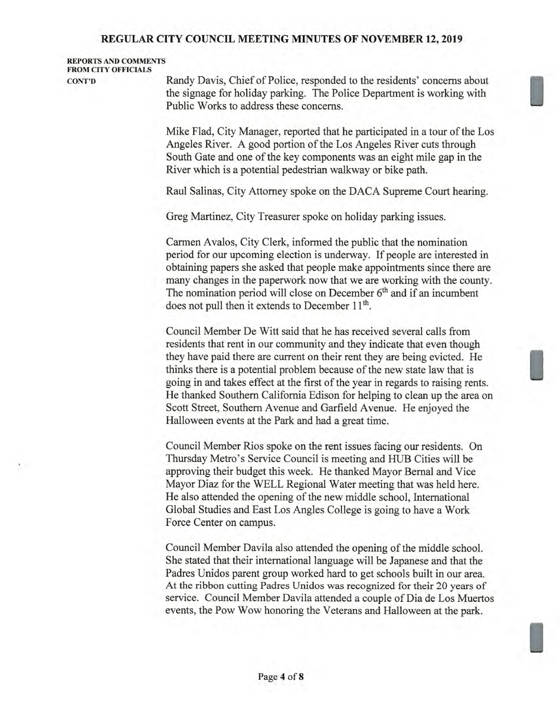## **REPORTS AND COMMENTS FROM CITY OFFICIALS**

**CONT'D** Randy Davis, Chief of Police, responded to the residents' concerns about the signage for holiday parking. The Police Department is working with Public Works to address these concerns.

> Mike Flad, City Manager, reported that he participated in a tour of the Los Angeles River. A good portion of the Los Angeles River cuts through South Gate and one of the key components was an eight mile gap in the River which is a potential pedestrian walkway or bike path.

Raul Salinas, City Attorney spoke on the DACA Supreme Court hearing.

Greg Martinez, City Treasurer spoke on holiday parking issues.

Carmen Avalos, City Clerk, informed the public that the nomination period for our upcoming election is underway. If people are interested in obtaining papers she asked that people make appointments since there are many changes in the paperwork now that we are working with the county. The nomination period will close on December  $6<sup>th</sup>$  and if an incumbent does not pull then it extends to December 11<sup>th</sup>.

Council Member De Witt said that he has received several calls from residents that rent in our community and they indicate that even though they have paid there are current on their rent they are being evicted. He thinks there is a potential problem because of the new state law that is going in and takes effect at the first of the year in regards to raising rents. He thanked Southern California Edison for helping to clean up the area on Scott Street, Southern Avenue and Garfield Avenue. He enjoyed the Halloween events at the Park and had a great time.

Council Member Rios spoke on the rent issues facing our residents. On Thursday Metro's Service Council is meeting and HUB Cities will be approving their budget this week. He thanked Mayor Bernal and Vice Mayor Diaz for the WELL Regional Water meeting that was held here. He also attended the opening of the new middle school, International Global Studies and East Los Angles College is going to have a Work Force Center on campus.

Council Member Davila also attended the opening of the middle school. She stated that their international language will be Japanese and that the Padres Unidos parent group worked hard to get schools built in our area. At the ribbon cutting Padres Unidos was recognized for their 20 years of service. Council Member Davila attended a couple of Dia de Los Muertos events, the Pow Wow honoring the Veterans and Halloween at the park.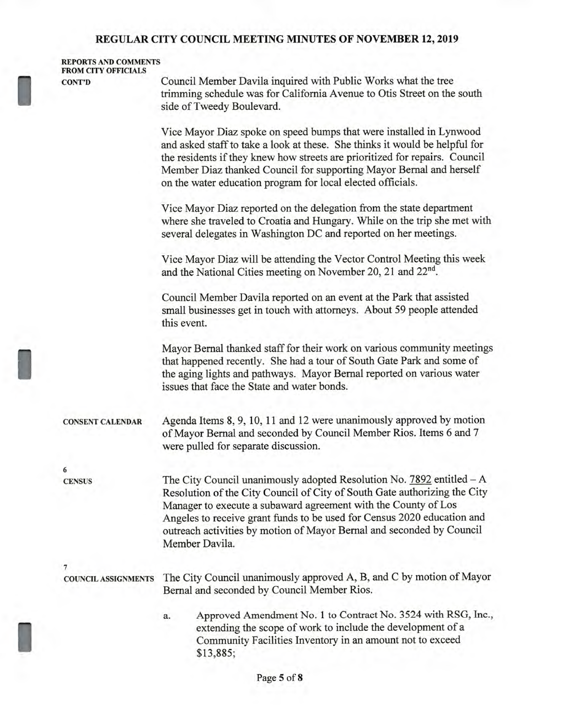## **REPORTS AND COMMENTS FROM CITY OFFICIALS**

**CONT'D** Council Member Davila inquired with Public Works what the tree trimming schedule was for California Avenue to Otis Street on the south side of Tweedy Boulevard.

> Vice Mayor Diaz spoke on speed bumps that were installed in Lynwood and asked staff to take a look at these. She thinks it would be helpful for the residents if they knew how streets are prioritized for repairs. Council Member Diaz thanked Council for supporting Mayor Bernal and herself on the water education program for local elected officials.

Vice Mayor Diaz reported on the delegation from the state department where she traveled to Croatia and Hungary. While on the trip she met with several delegates in Washington DC and reported on her meetings.

Vice Mayor Diaz will be attending the Vector Control Meeting this week and the National Cities meeting on November 20, 21 and **22nd.** 

Council Member Davila reported on an event at the Park that assisted small businesses get in touch with attorneys. About 59 people attended this event.

Mayor Bernal thanked staff for their work on various community meetings that happened recently. She had a tour of South Gate Park and some of the aging lights and pathways. Mayor Bernal reported on various water issues that face the State and water bonds.

**CONSENT CALENDAR** Agenda Items 8, 9, 10, 11 and 12 were unanimously approved by motion of Mayor Bernal and seconded by Council Member Rios. Items 6 and 7 were pulled for separate discussion.

**6** 

**CENSUS** The City Council unanimously adopted Resolution No. 7892 entitled — A Resolution of the City Council of City of South Gate authorizing the City Manager to execute a subaward agreement with the County of Los Angeles to receive grant funds to be used for Census 2020 education and outreach activities by motion of Mayor Bernal and seconded by Council Member Davila.

**7** 

I

**COUNCIL ASSIGNMENTS** The City Council unanimously approved A, B, and C by motion of Mayor Bernal and seconded by Council Member Rios.

> a. Approved Amendment No. 1 to Contract No. 3524 with RSG, Inc., extending the scope of work to include the development of a Community Facilities Inventory in an amount not to exceed \$13,885;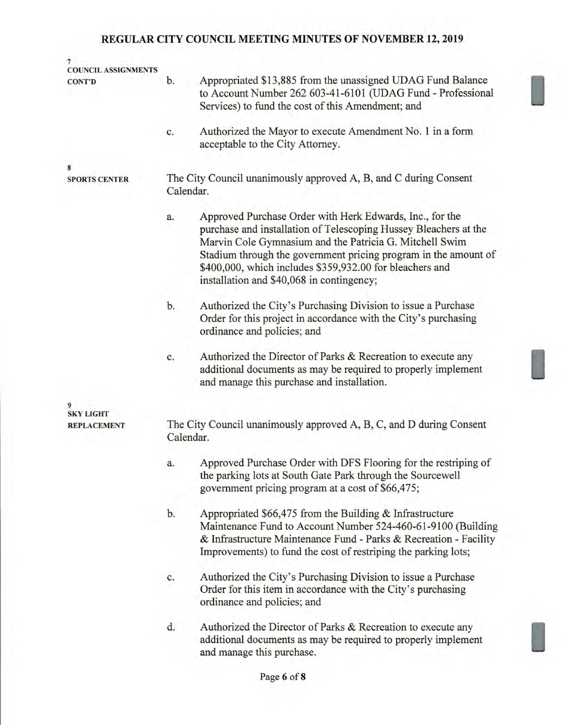| $\overline{7}$<br><b>COUNCIL ASSIGNMENTS</b> |                                                                               |                                                                                                                                                                                                                                                                                                                                                                     |  |  |  |  |
|----------------------------------------------|-------------------------------------------------------------------------------|---------------------------------------------------------------------------------------------------------------------------------------------------------------------------------------------------------------------------------------------------------------------------------------------------------------------------------------------------------------------|--|--|--|--|
| <b>CONT'D</b>                                | b.                                                                            | Appropriated \$13,885 from the unassigned UDAG Fund Balance<br>to Account Number 262 603-41-6101 (UDAG Fund - Professional<br>Services) to fund the cost of this Amendment; and                                                                                                                                                                                     |  |  |  |  |
|                                              | c.                                                                            | Authorized the Mayor to execute Amendment No. 1 in a form<br>acceptable to the City Attorney.                                                                                                                                                                                                                                                                       |  |  |  |  |
| 8                                            |                                                                               |                                                                                                                                                                                                                                                                                                                                                                     |  |  |  |  |
| <b>SPORTS CENTER</b>                         | The City Council unanimously approved A, B, and C during Consent<br>Calendar. |                                                                                                                                                                                                                                                                                                                                                                     |  |  |  |  |
|                                              | a.                                                                            | Approved Purchase Order with Herk Edwards, Inc., for the<br>purchase and installation of Telescoping Hussey Bleachers at the<br>Marvin Cole Gymnasium and the Patricia G. Mitchell Swim<br>Stadium through the government pricing program in the amount of<br>\$400,000, which includes \$359,932.00 for bleachers and<br>installation and \$40,068 in contingency; |  |  |  |  |
|                                              | b.                                                                            | Authorized the City's Purchasing Division to issue a Purchase<br>Order for this project in accordance with the City's purchasing<br>ordinance and policies; and                                                                                                                                                                                                     |  |  |  |  |
|                                              | c.                                                                            | Authorized the Director of Parks & Recreation to execute any<br>additional documents as may be required to properly implement<br>and manage this purchase and installation.                                                                                                                                                                                         |  |  |  |  |
| 9                                            |                                                                               |                                                                                                                                                                                                                                                                                                                                                                     |  |  |  |  |
| <b>SKY LIGHT</b><br><b>REPLACEMENT</b>       |                                                                               | The City Council unanimously approved A, B, C, and D during Consent                                                                                                                                                                                                                                                                                                 |  |  |  |  |
|                                              | Calendar.                                                                     |                                                                                                                                                                                                                                                                                                                                                                     |  |  |  |  |
|                                              | a.                                                                            | Approved Purchase Order with DFS Flooring for the restriping of<br>the parking lots at South Gate Park through the Sourcewell<br>government pricing program at a cost of \$66,475;                                                                                                                                                                                  |  |  |  |  |
|                                              | b.                                                                            | Appropriated $$66,475$ from the Building & Infrastructure<br>Maintenance Fund to Account Number 524-460-61-9100 (Building<br>& Infrastructure Maintenance Fund - Parks & Recreation - Facility<br>Improvements) to fund the cost of restriping the parking lots;                                                                                                    |  |  |  |  |
|                                              | c.                                                                            | Authorized the City's Purchasing Division to issue a Purchase<br>Order for this item in accordance with the City's purchasing<br>ordinance and policies; and                                                                                                                                                                                                        |  |  |  |  |
|                                              | d.                                                                            | Authorized the Director of Parks & Recreation to execute any<br>additional documents as may be required to properly implement<br>and manage this purchase.                                                                                                                                                                                                          |  |  |  |  |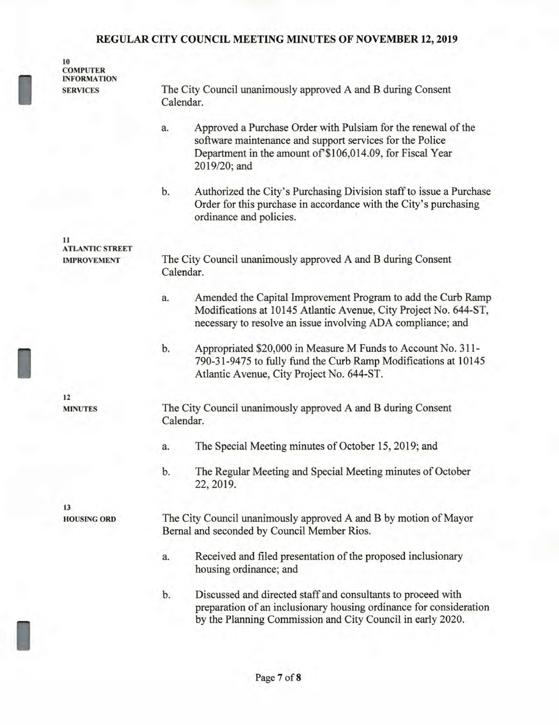**10 COMPUTER INFORMATION SERVICES** The City Council unanimously approved A and B during Consent

Calendar.

I

I

**11** 

**12 MINUTES** 

**13** 

I

a. Approved a Purchase Order with Pulsiam for the renewal of the software maintenance and support services for the Police Department in the amount of \$106,014.09, for Fiscal Year 2019/20; and b. Authorized the City's Purchasing Division staff to issue a Purchase Order for this purchase in accordance with the City's purchasing ordinance and policies. The City Council unanimously approved A and B during Consent Calendar. a. Amended the Capital Improvement Program to add the Curb Ramp Modifications at 10145 Atlantic Avenue, City Project No. 644-ST, necessary to resolve an issue involving ADA compliance; and b. Appropriated \$20,000 in Measure M Funds to Account No. 311- 790-31-9475 to fully fund the Curb Ramp Modifications at 10145 Atlantic Avenue, City Project No. 644-ST. The City Council unanimously approved A and B during Consent Calendar. a. The Special Meeting minutes of October 15, 2019; and b. The Regular Meeting and Special Meeting minutes of October 22, 2019. The City Council unanimously approved A and B by motion of Mayor Bernal and seconded by Council Member Rios. a. Received and filed presentation of the proposed inclusionary housing ordinance; and b. Discussed and directed staff and consultants to proceed with preparation of an inclusionary housing ordinance for consideration by the Planning Commission and City Council in early 2020. **ATLANTIC STREET IMPROVEMENT HOUSING ORD**